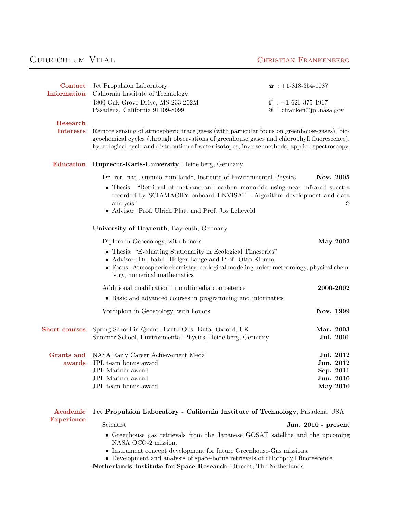# CURRICULUM VITAE CHRISTIAN FRANKENBERG

| Contact<br>Information        | Jet Propulsion Laboratory<br>California Institute of Technology                                                                                                                                                                                                                             | $\bullet$ : +1-818-354-1087                                         |  |
|-------------------------------|---------------------------------------------------------------------------------------------------------------------------------------------------------------------------------------------------------------------------------------------------------------------------------------------|---------------------------------------------------------------------|--|
|                               | 4800 Oak Grove Drive, MS 233-202M                                                                                                                                                                                                                                                           | $\overset{\circ}{\mathbb{D}}$ : +1-626-375-1917                     |  |
|                               | Pasadena, California 91109-8099                                                                                                                                                                                                                                                             | $\mathcal{F}$ : cfranken@jpl.nasa.gov                               |  |
|                               |                                                                                                                                                                                                                                                                                             |                                                                     |  |
| Research<br><b>Interests</b>  | Remote sensing of atmospheric trace gases (with particular focus on greenhouse-gases), bio-<br>geochemical cycles (through observations of greenhouse gases and chlorophyll fluorescence),<br>hydrological cycle and distribution of water isotopes, inverse methods, applied spectroscopy. |                                                                     |  |
| <b>Education</b>              | Ruprecht-Karls-University, Heidelberg, Germany                                                                                                                                                                                                                                              |                                                                     |  |
|                               | Dr. rer. nat., summa cum laude, Institute of Environmental Physics                                                                                                                                                                                                                          | Nov. 2005                                                           |  |
|                               | • Thesis: "Retrieval of methane and carbon monoxide using near infrared spectra<br>recorded by SCIAMACHY onboard ENVISAT - Algorithm development and data<br>analysis"<br>Q<br>• Advisor: Prof. Ulrich Platt and Prof. Jos Lelieveld                                                        |                                                                     |  |
|                               | University of Bayreuth, Bayreuth, Germany                                                                                                                                                                                                                                                   |                                                                     |  |
|                               | Diplom in Geoecology, with honors                                                                                                                                                                                                                                                           | <b>May 2002</b>                                                     |  |
|                               | • Thesis: "Evaluating Stationarity in Ecological Timeseries"<br>• Advisor: Dr. habil. Holger Lange and Prof. Otto Klemm<br>• Focus: Atmospheric chemistry, ecological modeling, micrometeorology, physical chem-<br>istry, numerical mathematics                                            |                                                                     |  |
|                               | Additional qualification in multimedia competence                                                                                                                                                                                                                                           | 2000-2002                                                           |  |
|                               | • Basic and advanced courses in programming and informatics                                                                                                                                                                                                                                 |                                                                     |  |
|                               | Vordiplom in Geoecology, with honors                                                                                                                                                                                                                                                        | Nov. 1999                                                           |  |
| <b>Short courses</b>          | Spring School in Quant. Earth Obs. Data, Oxford, UK<br>Summer School, Environmental Physics, Heidelberg, Germany                                                                                                                                                                            | Mar. 2003<br>Jul. 2001                                              |  |
| <b>Grants and</b><br>awards   | NASA Early Career Achievement Medal<br>JPL team bonus award<br>JPL Mariner award<br><b>JPL</b> Mariner award<br>JPL team bonus award                                                                                                                                                        | Jul. 2012<br>Jun. 2012<br>Sep. 2011<br>Jun. 2010<br><b>May 2010</b> |  |
| Academic<br><b>Experience</b> | Jet Propulsion Laboratory - California Institute of Technology, Pasadena, USA                                                                                                                                                                                                               |                                                                     |  |
|                               | Scientist<br>Jan. 2010 - present                                                                                                                                                                                                                                                            |                                                                     |  |
|                               | • Greenhouse gas retrievals from the Japanese GOSAT satellite and the upcoming<br>NASA OCO-2 mission.<br>• Instrument concept development for future Greenhouse-Gas missions.                                                                                                               |                                                                     |  |
|                               |                                                                                                                                                                                                                                                                                             |                                                                     |  |

 $\bullet\,$  Development and analysis of space-borne retrievals of chlorophyll fluorescence

[Netherlands Institute for Space Research](http://www.sron.nl), Utrecht, The Netherlands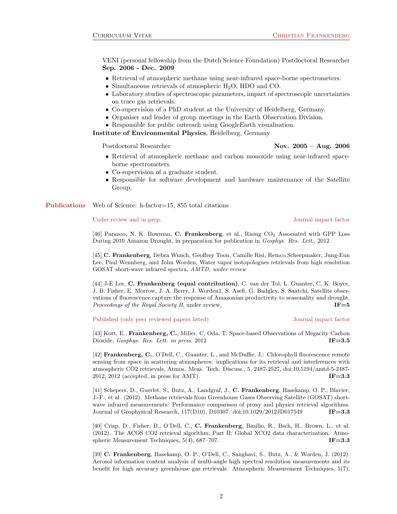VENI (personal fellowship from the Dutch Science Foundation) Postdoctoral Researcher Sep. 2006 - Dec. 2009

- Retrieval of atmospheric methane using near-infrared space-borne spectrometers.
- Simultaneous retrievals of atmospheric  $H_2O$ , HDO and CO.
- Laboratory studies of spectroscopic parameters, impact of spectroscopic uncertainties on trace gas retrievals.
- Co-supervision of a PhD student at the University of Heidelberg, Germany.
- Organiser and leader of group meetings in the Earth Observation Division.
- Responsible for public outreach using GoogleEarth visualisation.

Institute of Environmental Physics, Heidelberg, Germany

## Postdoctoral Researcher Nov. 2005 – Aug. 2006

- Retrieval of atmospheric methane and carbon monoxide using near-infrared spaceborne spectrometers.
- Co-supervision of a graduate student.
- Responsible for software development and hardware maintenance of the Satellite Group.

Publications Web of Science: h-factor=15, 855 total citations

### Under review and in prep. Journal impact factor

[46] Parazoo, N. K. Bowman, C. Frankenberg, et al., Rising CO<sub>2</sub> Associated with GPP Loss During 2010 Amazon Drought, in preparation for publication in Geophys. Res. Lett., 2012

[45] C. Frankenberg, Debra Wunch, Geoffrey Toon, Camille Risi, Remco Scheepmaker, Jung-Eun Lee, Paul Wennberg, and John Worden, Water vapor isotopologues retrievals from high resolution GOSAT short-wave infrared spectra, AMTD, under review

[44] J-E Lee, C. Frankenberg (equal contribution), C. van der Tol, L. Guanter, C. K. Boyce, J. B. Fisher, E. Morrow, J. A. Berry, J. Worden1, S. Asefi, G. Badgley, S. Saatchi, Satellite observations of fluorescence capture the response of Amazonian productivity to seasonality and drought, Proceedings of the Royal Society B, under review,  $IF=5$ 

Published (only peer reviewed papers listed) Journal impact factor

[43] Kort, E., Frankenberg, C., Miller, C, Oda, T. Space-based Observations of Megacity Carbon Dioxide, Geophys. Res. Lett. in press, 2012 **IF=3.5** 

[42] Frankenberg, C., O'Dell, C., Guanter, L., and McDuffie, J.: Chlorophyll fluorescence remote sensing from space in scattering atmospheres: implications for its retrieval and interferences with atmospheric CO2 retrievals, Atmos. Meas. Tech. Discuss., 5, 2487-2527, doi:10.5194/amtd-5-2487- 2012, 2012 (accepted, in press for AMT). **IF=3.3** 

[41] Schepers, D., Guerlet, S., Butz, A., Landgraf, J., C. Frankenberg, Hasekamp, O. P., Blavier, J.-F., et al. (2012). Methane retrievals from Greenhouse Gases Observing Satellite (GOSAT) shortwave infrared measurements: Performance comparison of proxy and physics retrieval algorithms. Journal of Geophysical Research, 117(D10), D10307. doi:10.1029/2012JD017549 **IF=3.3** 

[40] Crisp, D., Fisher, B., O'Dell, C., C. Frankenberg, Basilio, R., Bsch, H., Brown, L., et al. (2012). The ACOS CO2 retrieval algorithm; Part II: Global XCO2 data characterization. Atmospheric Measurement Techniques,  $5(4)$ ,  $687-707$ . IF=3.3

[39] C. Frankenberg, Hasekamp, O. P., O'Dell, C., Sanghavi, S., Butz, A., & Worden, J. (2012). Aerosol information content analysis of multi-angle high spectral resolution measurements and its benefit for high accuracy greenhouse gas retrievals. Atmospheric Measurement Techniques, 5(7),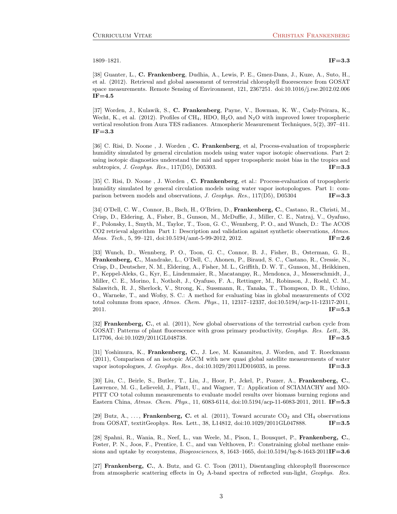$1809-1821.$  IF=3.3

[38] Guanter, L., C. Frankenberg, Dudhia, A., Lewis, P. E., Gmez-Dans, J., Kuze, A., Suto, H., et al. (2012). Retrieval and global assessment of terrestrial chlorophyll fluorescence from GOSAT space measurements. Remote Sensing of Environment, 121, 236?251. doi:10.1016/j.rse.2012.02.006  $IF = 4.5$ 

[37] Worden, J., Kulawik, S., C. Frankenberg, Payne, V., Bowman, K. W., Cady-Peirara, K., Wecht, K., et al. (2012). Profiles of CH<sub>4</sub>, HDO, H<sub>2</sub>O, and N<sub>2</sub>O with improved lower tropospheric vertical resolution from Aura TES radiances. Atmospheric Measurement Techniques, 5(2), 397–411.  $IF = 3.3$ 

[36] C. Risi, D. Noone, J. Worden, C. Frankenberg, et al, Process-evaluation of tropospheric humidity simulated by general circulation models using water vapor isotopic observations. Part 2: using isotopic diagnostics understand the mid and upper tropospheric moist bias in the tropics and subtropics, J. Geophys. Res., 117(D5), D05303. **IF=3.3** 

[35] C. Risi, D. Noone , J. Worden , C. Frankenberg, et al.: Process-evaluation of tropospheric humidity simulated by general circulation models using water vapor isotopologues. Part 1: comparison between models and observations, J. Geophys. Res.,  $117(D5)$ , D05304 **IF=3.3** 

[34] O'Dell, C. W., Connor, B., Bsch, H., O'Brien, D., Frankenberg, C., Castano, R., Christi, M., Crisp, D., Eldering, A., Fisher, B., Gunson, M., McDuffie, J., Miller, C. E., Natraj, V., Oyafuso, F., Polonsky, I., Smyth, M., Taylor, T., Toon, G. C., Wennberg, P. O., and Wunch, D.: The ACOS CO2 retrieval algorithm Part 1: Description and validation against synthetic observations, Atmos. *Meas. Tech.*, 5, 99–121, doi:10.5194/amt-5-99-2012, 2012. **IF=2.6** 

[33] Wunch, D., Wennberg, P. O., Toon, G. C., Connor, B. J., Fisher, B., Osterman, G. B., Frankenberg, C., Mandrake, L., O'Dell, C., Ahonen, P., Biraud, S. C., Castano, R., Cressie, N., Crisp, D., Deutscher, N. M., Eldering, A., Fisher, M. L., Griffith, D. W. T., Gunson, M., Heikkinen, P., Keppel-Aleks, G., Kyr, E., Lindenmaier, R., Macatangay, R., Mendonca, J., Messerschmidt, J., Miller, C. E., Morino, I., Notholt, J., Oyafuso, F. A., Rettinger, M., Robinson, J., Roehl, C. M., Salawitch, R. J., Sherlock, V., Strong, K., Sussmann, R., Tanaka, T., Thompson, D. R., Uchino, O., Warneke, T., and Wofsy, S. C.: A method for evaluating bias in global measurements of CO2 total columns from space, Atmos. Chem. Phys., 11, 12317–12337, doi:10.5194/acp-11-12317-2011, 2011. **IF=5.3** 

[32] Frankenberg, C., et al. (2011), New global observations of the terrestrial carbon cycle from GOSAT: Patterns of plant fluorescence with gross primary productivity, Geophys. Res. Lett., 38, L17706, doi:10.1029/2011GL048738. **IF=3.5** 

[31] Yoshimura, K., Frankenberg, C., J. Lee, M. Kanamitsu, J. Worden, and T. Roeckmann (2011), Comparison of an isotopic AGCM with new quasi global satellite measurements of water vapor isotopologues, J. Geophys. Res., doi:10.1029/2011JD016035, in press. **IF**=3.3

[30] Liu, C., Beirle, S., Butler, T., Liu, J., Hoor, P., Jckel, P., Pozzer, A., Frankenberg, C., Lawrence, M. G., Lelieveld, J., Platt, U., and Wagner, T.: Application of SCIAMACHY and MO-PITT CO total column measurements to evaluate model results over biomass burning regions and Eastern China, Atmos. Chem. Phys., 11, 6083-6114, doi:10.5194/acp-11-6083-2011, 2011. **IF=5.3** 

[29] Butz, A., ..., Frankenberg, C. et al. (2011), Toward accurate  $CO<sub>2</sub>$  and CH<sub>4</sub> observations from GOSAT, textitGeophys. Res. Lett., 38, L14812, doi:10.1029/2011GL047888. IF=3.5

[28] Spahni, R., Wania, R., Neef, L., van Weele, M., Pison, I., Bousquet, P., Frankenberg, C., Foster, P. N., Joos, F., Prentice, I. C., and van Velthoven, P.: Constraining global methane emissions and uptake by ecosystems, *Biogeosciences*, 8, 1643–1665, doi:10.5194/bg-8-1643-2011I**F**=3.6

[27] Frankenberg, C., A. Butz, and G. C. Toon (2011), Disentangling chlorophyll fluorescence from atmospheric scattering effects in  $O_2$  A-band spectra of reflected sun-light, Geophys. Res.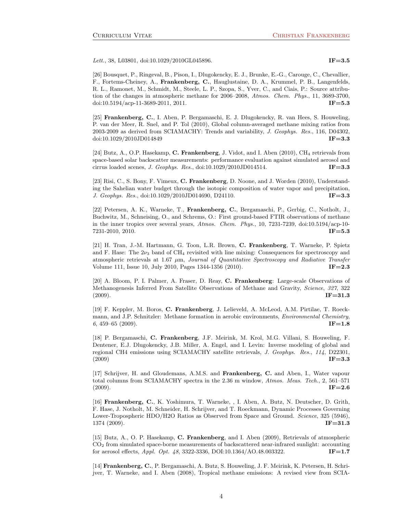Lett., 38, L03801, doi:10.1029/2010GL045896. **IF=3.5** 

[26] Bousquet, P., Ringeval, B., Pison, I., Dlugokencky, E. J., Brunke, E.-G., Carouge, C., Chevallier, F., Fortems-Cheiney, A., Frankenberg, C., Hauglustaine, D. A., Krummel, P. B., Langenfelds, R. L., Ramonet, M., Schmidt, M., Steele, L. P., Szopa, S., Yver, C., and Ciais, P.: Source attribution of the changes in atmospheric methane for 2006–2008, Atmos. Chem. Phys., 11, 3689-3700, doi:10.5194/acp-11-3689-2011, 2011. **IF=5.3 IF=5.3** 

[25] Frankenberg, C., I. Aben, P. Bergamaschi, E. J. Dlugokencky, R. van Hees, S. Houweling, P. van der Meer, R. Snel, and P. Tol (2010), Global column-averaged methane mixing ratios from 2003-2009 as derived from SCIAMACHY: Trends and variability, J. Geophys. Res., 116, D04302, doi:10.1029/2010JD014849 **IF=3.3** 

[24] Butz, A., O.P. Hasekamp, C. Frankenberg, J. Vidot, and I. Aben (2010), CH<sub>4</sub> retrievals from space-based solar backscatter measurements: performance evaluation against simulated aerosol and cirrus loaded scenes, *J. Geophys. Res.*, doi:10.1029/2010JD014514. **IF=3.3** 

[23] Risi, C., S. Bony, F. Vimeux, C. Frankenberg, D. Noone, and J. Worden (2010), Understanding the Sahelian water budget through the isotopic composition of water vapor and precipitation, J. Geophys. Res., doi:10.1029/2010JD014690, D24110. **IF=3.3** 

[22] Petersen, A. K., Warneke, T., Frankenberg, C., Bergamaschi, P., Gerbig, C., Notholt, J., Buchwitz, M., Schneising, O., and Schrems, O.: First ground-based FTIR observations of methane in the inner tropics over several years, Atmos. Chem. Phys., 10, 7231-7239, doi:10.5194/acp-10-  $T = 5.3$   $T = 5.3$ 

[21] H. Tran, J.-M. Hartmann, G. Toon, L.R. Brown, C. Frankenberg, T. Warneke, P. Spietz and F. Hase: The  $2\nu_3$  band of CH<sub>4</sub> revisited with line mixing: Consequences for spectroscopy and atmospheric retrievals at 1.67  $\mu$ m, Journal of Quantitative Spectroscopy and Radiative Transfer Volume 111, Issue 10, July 2010, Pages 1344-1356 (2010). **IF=2.3** 

[20] A. Bloom, P. I. Palmer, A. Fraser, D. Reay, C. Frankenberg: Large-scale Observations of Methanogenesis Inferred From Satellite Observations of Methane and Gravity, Science, 327, 322  $(\text{2009}).$  IF=31.3

[19] F. Keppler, M. Boros, C. Frankenberg, J. Lelieveld, A. McLeod, A.M. Pirtilae, T. Roeckmann, and J.P. Schnitzler: Methane formation in aerobic environments, *Environmental Chemistry*, 6, 459–65 (2009). **IF**=1.8

[18] P. Bergamaschi, C. Frankenberg, J.F. Meirink, M. Krol, M.G. Villani, S. Houweling, F. Dentener, E.J. Dlugokencky, J.B. Miller, A. Engel, and I. Levin: Inverse modeling of global and regional CH4 emissions using SCIAMACHY satellite retrievals, J. Geophys. Res., 114, D22301,  $IF = 3.3$ 

[17] Schrijver, H. and Gloudemans, A.M.S. and Frankenberg, C. and Aben, I., Water vapour total columns from SCIAMACHY spectra in the 2.36 m window, Atmos. Meas. Tech., 2, 561–571  $(\text{2009}).$  IF=2.6

[16] Frankenberg, C., K. Yoshimura, T. Warneke, , I. Aben, A. Butz, N. Deutscher, D. Grith, F. Hase, J. Notholt, M. Schneider, H. Schrijver, and T. Roeckmann, Dynamic Processes Governing Lower-Tropospheric HDO/H2O Ratios as Observed from Space and Ground. Science, 325 (5946),  $1374 \ (2009)$ .  $\text{IF=31.3}$ 

[15] Butz, A., O. P. Hasekamp, C. Frankenberg, and I. Aben (2009), Retrievals of atmospheric  $CO<sub>2</sub>$  from simulated space-borne measurements of backscattered near-infrared sunlight: accounting for aerosol effects, *Appl. Opt. 48*, 3322-3336, DOI:10.1364/AO.48.003322. **IF**=1.7

[14] Frankenberg, C., P. Bergamaschi, A. Butz, S. Houweling, J. F. Meirink, K. Petersen, H. Schrijver, T. Warneke, and I. Aben (2008), Tropical methane emissions: A revised view from SCIA-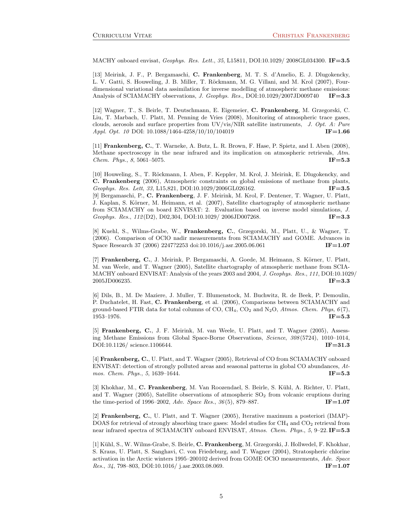MACHY onboard envisat, Geophys. Res. Lett., 35, L15811, DOI:10.1029/ 2008GL034300. IF=3.5

[13] Meirink, J. F., P. Bergamaschi, C. Frankenberg, M. T. S. d'Amelio, E. J. Dlugokencky, L. V. Gatti, S. Houweling, J. B. Miller, T. Röckmann, M. G. Villani, and M. Krol (2007), Fourdimensional variational data assimilation for inverse modelling of atmospheric methane emissions: Analysis of SCIAMACHY observations, J. Geophys. Res., DOI:10.1029/2007JD009740 IF=3.3

[12] Wagner, T., S. Beirle, T. Deutschmann, E. Eigemeier, C. Frankenberg, M. Grzegorski, C. Liu, T. Marbach, U. Platt, M. Penning de Vries (2008), Monitoring of atmospheric trace gases, clouds, aerosols and surface properties from UV/vis/NIR satellite instruments, J. Opt. A: Pure Appl. Opt. 10 DOI: 10.1088/1464-4258/10/10/104019 **IF=1.66** 

[11] Frankenberg, C., T. Warneke, A. Butz, L. R. Brown, F. Hase, P. Spietz, and I. Aben (2008), Methane spectroscopy in the near infrared and its implication on atmospheric retrievals, Atm. *Chem. Phys.*,  $8, 5061-5075$ . **IF**=5.3

[10] Houweling, S., T. Röckmann, I. Aben, F. Keppler, M. Krol, J. Meirink, E. Dlugokencky, and C. Frankenberg (2006), Atmospheric constraints on global emissions of methane from plants, Geophys. Res. Lett, 33, L15,821, DOI:10.1029/2006GL026162. **IF=3.5** [9] Bergamaschi, P., C. Frankenberg, J. F. Meirink, M. Krol, F. Dentener, T. Wagner, U. Platt, J. Kaplan, S. Körner, M. Heimann, et al. (2007), Satellite chartography of atmospheric methane from SCIAMACHY on board ENVISAT: 2. Evaluation based on inverse model simulations, J. Geophys. Res.,  $112(D2)$ , D02,304, DOI:10.1029/ 2006JD007268. **IF=3.3** 

[8] Kuehl, S., Wilms-Grabe, W., Frankenberg, C., Grzegorski, M., Platt, U., & Wagner, T. (2006). Comparison of OClO nadir measurements from SCIAMACHY and GOME. Advances in Space Research 37 (2006) 2247?2253 doi:10.1016/j.asr.2005.06.061 **IF**=1.07

[7] Frankenberg, C., J. Meirink, P. Bergamaschi, A. Goede, M. Heimann, S. Körner, U. Platt, M. van Weele, and T. Wagner (2005), Satellite chartography of atmospheric methane from SCIA-MACHY onboard ENVISAT: Analysis of the years 2003 and 2004, J. Geophys. Res., 111, DOI:10.1029/  $2005$ JD006235. **IF=3.3** 

[6] Dils, B., M. De Maziere, J. Muller, T. Blumenstock, M. Buchwitz, R. de Beek, P. Demoulin, P. Duchatelet, H. Fast, C. Frankenberg, et al. (2006), Comparisons between SCIAMACHY and ground-based FTIR data for total columns of CO, CH<sub>4</sub>, CO<sub>2</sub> and N<sub>2</sub>O, Atmos. Chem. Phys,  $6(7)$ ,  $1953-1976.$  IF=5.3

[5] Frankenberg, C., J. F. Meirink, M. van Weele, U. Platt, and T. Wagner (2005), Assessing Methane Emissions from Global Space-Borne Observations, Science, 308 (5724), 1010–1014,  $DO1:10.1126/$  science.1106644. **IF**=31.3

[4] Frankenberg, C., U. Platt, and T. Wagner (2005), Retrieval of CO from SCIAMACHY onboard ENVISAT: detection of strongly polluted areas and seasonal patterns in global CO abundances, Atmos. Chem. Phys., 5, 1639–1644. **IF**=5.3

[3] Khokhar, M., C. Frankenberg, M. Van Roozendael, S. Beirle, S. Kühl, A. Richter, U. Platt, and T. Wagner (2005), Satellite observations of atmospheric  $SO<sub>2</sub>$  from volcanic eruptions during the time-period of 1996–2002, Adv. Space Res.,  $36(5)$ , 879–887. **IF**=1.07

[2] Frankenberg, C., U. Platt, and T. Wagner (2005), Iterative maximum a posteriori (IMAP)- DOAS for retrieval of strongly absorbing trace gases: Model studies for CH<sub>4</sub> and CO<sub>2</sub> retrieval from near infrared spectra of SCIAMACHY onboard ENVISAT, Atmos. Chem. Phys., 5, 9–22. IF=5.3

[1] Kühl, S., W. Wilms-Grabe, S. Beirle, C. Frankenberg, M. Grzegorski, J. Hollwedel, F. Khokhar, S. Kraus, U. Platt, S. Sanghavi, C. von Friedeburg, and T. Wagner (2004), Stratospheric chlorine activation in the Arctic winters 1995–200102 derived from GOME OClO measurements, Adv. Space Res., 34, 798–803, DOI:10.1016/ j.asr.2003.08.069. **IF=1.07**